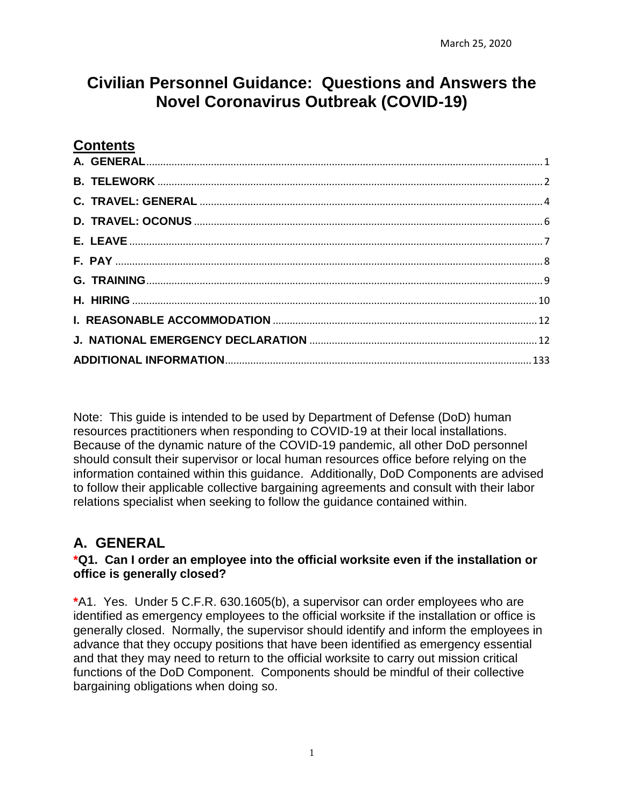# **Civilian Personnel Guidance: Questions and Answers the Novel Coronavirus Outbreak (COVID-19)**

# **Contents**

Note: This guide is intended to be used by Department of Defense (DoD) human resources practitioners when responding to COVID-19 at their local installations. Because of the dynamic nature of the COVID-19 pandemic, all other DoD personnel should consult their supervisor or local human resources office before relying on the information contained within this guidance. Additionally, DoD Components are advised to follow their applicable collective bargaining agreements and consult with their labor relations specialist when seeking to follow the guidance contained within.

# <span id="page-0-0"></span>**A. GENERAL**

#### **\*Q1. Can I order an employee into the official worksite even if the installation or office is generally closed?**

**\***A1. Yes. Under 5 C.F.R. 630.1605(b), a supervisor can order employees who are identified as emergency employees to the official worksite if the installation or office is generally closed. Normally, the supervisor should identify and inform the employees in advance that they occupy positions that have been identified as emergency essential and that they may need to return to the official worksite to carry out mission critical functions of the DoD Component. Components should be mindful of their collective bargaining obligations when doing so.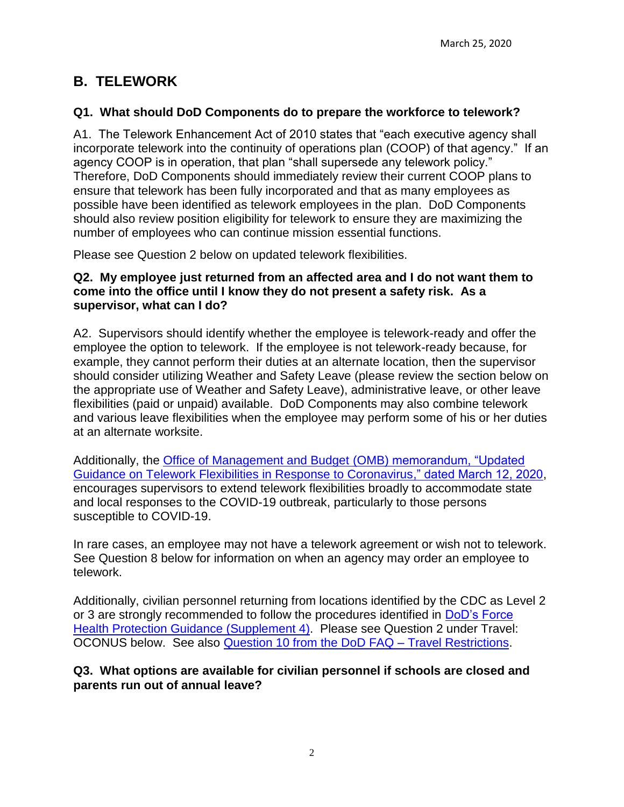# <span id="page-1-0"></span>**B. TELEWORK**

# **Q1. What should DoD Components do to prepare the workforce to telework?**

A1. The Telework Enhancement Act of 2010 states that "each executive agency shall incorporate telework into the continuity of operations plan (COOP) of that agency." If an agency COOP is in operation, that plan "shall supersede any telework policy." Therefore, DoD Components should immediately review their current COOP plans to ensure that telework has been fully incorporated and that as many employees as possible have been identified as telework employees in the plan. DoD Components should also review position eligibility for telework to ensure they are maximizing the number of employees who can continue mission essential functions.

Please see Question 2 below on updated telework flexibilities.

#### **Q2. My employee just returned from an affected area and I do not want them to come into the office until I know they do not present a safety risk. As a supervisor, what can I do?**

A2. Supervisors should identify whether the employee is telework-ready and offer the employee the option to telework. If the employee is not telework-ready because, for example, they cannot perform their duties at an alternate location, then the supervisor should consider utilizing Weather and Safety Leave (please review the section below on the appropriate use of Weather and Safety Leave), administrative leave, or other leave flexibilities (paid or unpaid) available. DoD Components may also combine telework and various leave flexibilities when the employee may perform some of his or her duties at an alternate worksite.

Additionally, the [Office of Management and Budget \(OMB\) memorandum, "Updated](https://www.chcoc.gov/sites/default/files/M-20-13.pdf)  [Guidance on Telework Flexibilities in Response to Coronavirus," dated March 12, 2020,](https://www.chcoc.gov/sites/default/files/M-20-13.pdf) encourages supervisors to extend telework flexibilities broadly to accommodate state and local responses to the COVID-19 outbreak, particularly to those persons susceptible to COVID-19.

In rare cases, an employee may not have a telework agreement or wish not to telework. See Question 8 below for information on when an agency may order an employee to telework.

Additionally, civilian personnel returning from locations identified by the CDC as Level 2 or 3 are strongly recommended to follow the procedures identified in [DoD's Force](https://media.defense.gov/2020/Mar/11/2002263241/-1/-1/1/FORCE-HEALTH-PROTECTION-GUIDANCE-SUPPLEMENT-4.PDF)  [Health Protection Guidance \(Supplement 4\).](https://media.defense.gov/2020/Mar/11/2002263241/-1/-1/1/FORCE-HEALTH-PROTECTION-GUIDANCE-SUPPLEMENT-4.PDF) Please see Question 2 under Travel: OCONUS below. See also [Question 10 from the DoD FAQ –](https://media.defense.gov/2020/Mar/13/2002264270/-1/-1/1/FAQ-TRAVEL-RESTRICTIONS.PDF) Travel Restrictions.

### **Q3. What options are available for civilian personnel if schools are closed and parents run out of annual leave?**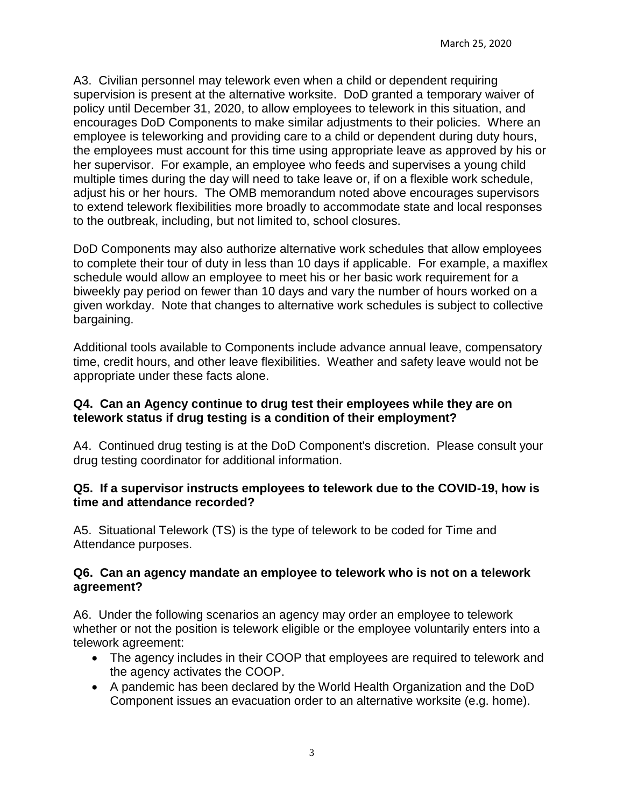A3. Civilian personnel may telework even when a child or dependent requiring supervision is present at the alternative worksite. DoD granted a temporary waiver of policy until December 31, 2020, to allow employees to telework in this situation, and encourages DoD Components to make similar adjustments to their policies. Where an employee is teleworking and providing care to a child or dependent during duty hours, the employees must account for this time using appropriate leave as approved by his or her supervisor. For example, an employee who feeds and supervises a young child multiple times during the day will need to take leave or, if on a flexible work schedule, adjust his or her hours. The OMB memorandum noted above encourages supervisors to extend telework flexibilities more broadly to accommodate state and local responses to the outbreak, including, but not limited to, school closures.

DoD Components may also authorize alternative work schedules that allow employees to complete their tour of duty in less than 10 days if applicable. For example, a maxiflex schedule would allow an employee to meet his or her basic work requirement for a biweekly pay period on fewer than 10 days and vary the number of hours worked on a given workday. Note that changes to alternative work schedules is subject to collective bargaining.

Additional tools available to Components include advance annual leave, compensatory time, credit hours, and other leave flexibilities. Weather and safety leave would not be appropriate under these facts alone.

#### **Q4. Can an Agency continue to drug test their employees while they are on telework status if drug testing is a condition of their employment?**

A4. Continued drug testing is at the DoD Component's discretion. Please consult your drug testing coordinator for additional information.

#### **Q5. If a supervisor instructs employees to telework due to the COVID-19, how is time and attendance recorded?**

A5. Situational Telework (TS) is the type of telework to be coded for Time and Attendance purposes.

#### **Q6. Can an agency mandate an employee to telework who is not on a telework agreement?**

A6. Under the following scenarios an agency may order an employee to telework whether or not the position is telework eligible or the employee voluntarily enters into a telework agreement:

- The agency includes in their COOP that employees are required to telework and the agency activates the COOP.
- A pandemic has been declared by the World Health Organization and the DoD Component issues an evacuation order to an alternative worksite (e.g. home).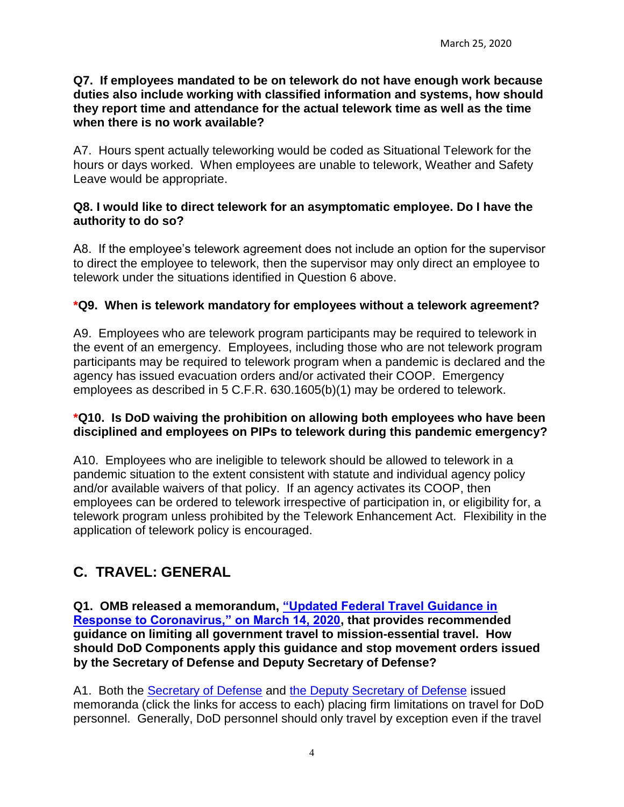#### **Q7. If employees mandated to be on telework do not have enough work because duties also include working with classified information and systems, how should they report time and attendance for the actual telework time as well as the time when there is no work available?**

A7. Hours spent actually teleworking would be coded as Situational Telework for the hours or days worked. When employees are unable to telework, Weather and Safety Leave would be appropriate.

#### **Q8. I would like to direct telework for an asymptomatic employee. Do I have the authority to do so?**

A8. If the employee's telework agreement does not include an option for the supervisor to direct the employee to telework, then the supervisor may only direct an employee to telework under the situations identified in Question 6 above.

### **\*Q9. When is telework mandatory for employees without a telework agreement?**

A9. Employees who are telework program participants may be required to telework in the event of an emergency. Employees, including those who are not telework program participants may be required to telework program when a pandemic is declared and the agency has issued evacuation orders and/or activated their COOP. Emergency employees as described in 5 C.F.R. 630.1605(b)(1) may be ordered to telework.

#### **\*Q10. Is DoD waiving the prohibition on allowing both employees who have been disciplined and employees on PIPs to telework during this pandemic emergency?**

A10. Employees who are ineligible to telework should be allowed to telework in a pandemic situation to the extent consistent with statute and individual agency policy and/or available waivers of that policy. If an agency activates its COOP, then employees can be ordered to telework irrespective of participation in, or eligibility for, a telework program unless prohibited by the Telework Enhancement Act. Flexibility in the application of telework policy is encouraged.

# <span id="page-3-0"></span>**C. TRAVEL: GENERAL**

**Q1. OMB released a memorandum, ["Updated Federal Travel Guidance in](https://www.whitehouse.gov/wp-content/uploads/2020/03/M-20-14-travel-guidance-OMB-1.pdf)  [Response to Coronavirus," on March 14, 2020,](https://www.whitehouse.gov/wp-content/uploads/2020/03/M-20-14-travel-guidance-OMB-1.pdf) that provides recommended guidance on limiting all government travel to mission-essential travel. How should DoD Components apply this guidance and stop movement orders issued by the Secretary of Defense and Deputy Secretary of Defense?**

A1. Both the [Secretary of Defense](https://media.defense.gov/2020/Mar/11/2002263242/-1/-1/1/TRAVEL-RESTRICTIONS-FOR-DOD-COMPONENTS-IN-RESPONSE-TO-CORONAVIRUS-DISEASE-2019.PDF) and [the Deputy Secretary of Defense](https://media.defense.gov/2020/Mar/13/2002264686/-1/-1/1/STOP-MOVEMENT-FOR-ALL-DOMESTIC-TRAVEL-FOR-DOD-COMPONENTS-IN-RESPONSE-TO-CORONAVIRUS-2019.PDF) issued memoranda (click the links for access to each) placing firm limitations on travel for DoD personnel. Generally, DoD personnel should only travel by exception even if the travel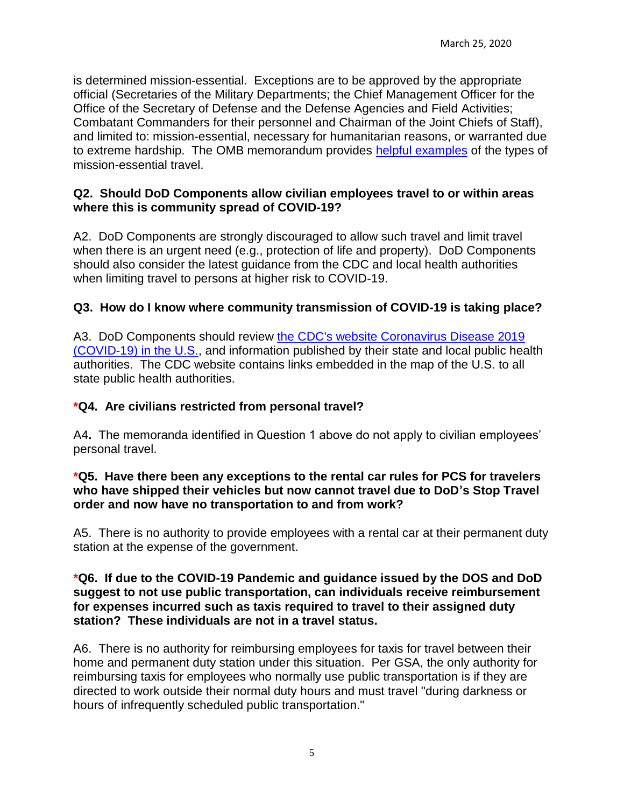is determined mission-essential. Exceptions are to be approved by the appropriate official (Secretaries of the Military Departments; the Chief Management Officer for the Office of the Secretary of Defense and the Defense Agencies and Field Activities; Combatant Commanders for their personnel and Chairman of the Joint Chiefs of Staff), and limited to: mission-essential, necessary for humanitarian reasons, or warranted due to extreme hardship. The OMB memorandum provides [helpful examples](https://www.whitehouse.gov/wp-content/uploads/2020/03/M-20-14-travel-guidance-OMB-1.pdf) of the types of mission-essential travel.

#### **Q2. Should DoD Components allow civilian employees travel to or within areas where this is community spread of COVID-19?**

A2. DoD Components are strongly discouraged to allow such travel and limit travel when there is an urgent need (e.g., protection of life and property). DoD Components should also consider the latest guidance from the CDC and local health authorities when limiting travel to persons at higher risk to COVID-19.

# **Q3. How do I know where community transmission of COVID-19 is taking place?**

A3. DoD Components should review [the CDC's website Coronavirus Disease 2019](https://www.cdc.gov/coronavirus/2019-ncov/cases-in-us.html#reporting-cases)  [\(COVID-19\) in the U.S.,](https://www.cdc.gov/coronavirus/2019-ncov/cases-in-us.html#reporting-cases) and information published by their state and local public health authorities. The CDC website contains links embedded in the map of the U.S. to all state public health authorities.

### **\*Q4. Are civilians restricted from personal travel?**

A4**.** The memoranda identified in Question 1 above do not apply to civilian employees' personal travel.

#### **\*Q5. Have there been any exceptions to the rental car rules for PCS for travelers who have shipped their vehicles but now cannot travel due to DoD's Stop Travel order and now have no transportation to and from work?**

A5. There is no authority to provide employees with a rental car at their permanent duty station at the expense of the government.

#### **\*Q6. If due to the COVID-19 Pandemic and guidance issued by the DOS and DoD suggest to not use public transportation, can individuals receive reimbursement for expenses incurred such as taxis required to travel to their assigned duty station? These individuals are not in a travel status.**

A6. There is no authority for reimbursing employees for taxis for travel between their home and permanent duty station under this situation. Per GSA, the only authority for reimbursing taxis for employees who normally use public transportation is if they are directed to work outside their normal duty hours and must travel "during darkness or hours of infrequently scheduled public transportation."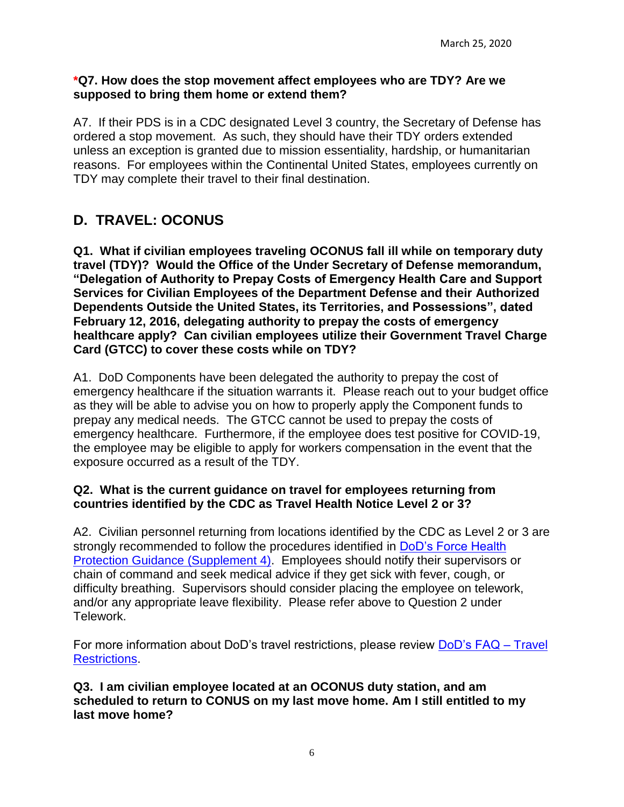#### **\*Q7. How does the stop movement affect employees who are TDY? Are we supposed to bring them home or extend them?**

A7. If their PDS is in a CDC designated Level 3 country, the Secretary of Defense has ordered a stop movement. As such, they should have their TDY orders extended unless an exception is granted due to mission essentiality, hardship, or humanitarian reasons. For employees within the Continental United States, employees currently on TDY may complete their travel to their final destination.

# <span id="page-5-0"></span>**D. TRAVEL: OCONUS**

**Q1. What if civilian employees traveling OCONUS fall ill while on temporary duty travel (TDY)? Would the Office of the Under Secretary of Defense memorandum, "Delegation of Authority to Prepay Costs of Emergency Health Care and Support Services for Civilian Employees of the Department Defense and their Authorized Dependents Outside the United States, its Territories, and Possessions", dated February 12, 2016, delegating authority to prepay the costs of emergency healthcare apply? Can civilian employees utilize their Government Travel Charge Card (GTCC) to cover these costs while on TDY?**

A1. DoD Components have been delegated the authority to prepay the cost of emergency healthcare if the situation warrants it. Please reach out to your budget office as they will be able to advise you on how to properly apply the Component funds to prepay any medical needs. The GTCC cannot be used to prepay the costs of emergency healthcare. Furthermore, if the employee does test positive for COVID-19, the employee may be eligible to apply for workers compensation in the event that the exposure occurred as a result of the TDY.

#### **Q2. What is the current guidance on travel for employees returning from countries identified by the CDC as Travel Health Notice Level 2 or 3?**

A2. Civilian personnel returning from locations identified by the CDC as Level 2 or 3 are strongly recommended to follow the procedures identified in [DoD's Force Health](https://media.defense.gov/2020/Mar/11/2002263241/-1/-1/1/FORCE-HEALTH-PROTECTION-GUIDANCE-SUPPLEMENT-4.PDF) [Protection Guidance \(Supplement 4\).](https://media.defense.gov/2020/Mar/11/2002263241/-1/-1/1/FORCE-HEALTH-PROTECTION-GUIDANCE-SUPPLEMENT-4.PDF) Employees should notify their supervisors or chain of command and seek medical advice if they get sick with fever, cough, or difficulty breathing. Supervisors should consider placing the employee on telework, and/or any appropriate leave flexibility. Please refer above to Question 2 under Telework.

For more information about DoD's travel restrictions, please review [DoD's FAQ –](https://media.defense.gov/2020/Mar/13/2002264688/-1/-1/1/FAQ_TRAVEL_RESTRICTIONS.PDF) Travel [Restrictions.](https://media.defense.gov/2020/Mar/13/2002264688/-1/-1/1/FAQ_TRAVEL_RESTRICTIONS.PDF)

**Q3. I am civilian employee located at an OCONUS duty station, and am scheduled to return to CONUS on my last move home. Am I still entitled to my last move home?**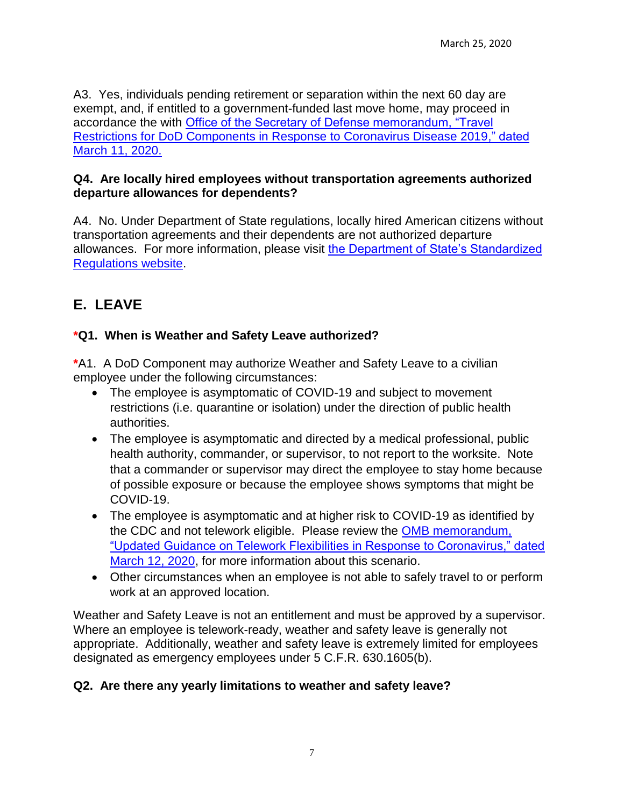A3. Yes, individuals pending retirement or separation within the next 60 day are exempt, and, if entitled to a government-funded last move home, may proceed in accordance the with [Office of the Secretary of Defense memorandum, "Travel](https://media.defense.gov/2020/Mar/11/2002263242/-1/-1/1/TRAVEL-RESTRICTIONS-FOR-DOD-COMPONENTS-IN-RESPONSE-TO-CORONAVIRUS-DISEASE-2019.PDF)  Restrictions [for DoD Components in Response to Coronavirus Disease 2019," dated](https://media.defense.gov/2020/Mar/11/2002263242/-1/-1/1/TRAVEL-RESTRICTIONS-FOR-DOD-COMPONENTS-IN-RESPONSE-TO-CORONAVIRUS-DISEASE-2019.PDF)  [March 11, 2020.](https://media.defense.gov/2020/Mar/11/2002263242/-1/-1/1/TRAVEL-RESTRICTIONS-FOR-DOD-COMPONENTS-IN-RESPONSE-TO-CORONAVIRUS-DISEASE-2019.PDF)

#### **Q4. Are locally hired employees without transportation agreements authorized departure allowances for dependents?**

A4. No. Under Department of State regulations, locally hired American citizens without transportation agreements and their dependents are not authorized departure allowances. For more information, please visit [the Department of State's Standardized](https://aoprals.state.gov/content.asp?content_id=282&menu_id=101)  [Regulations website.](https://aoprals.state.gov/content.asp?content_id=282&menu_id=101)

# <span id="page-6-0"></span>**E. LEAVE**

# **\*Q1. When is Weather and Safety Leave authorized?**

**\***A1. A DoD Component may authorize Weather and Safety Leave to a civilian employee under the following circumstances:

- The employee is asymptomatic of COVID-19 and subject to movement restrictions (i.e. quarantine or isolation) under the direction of public health authorities.
- The employee is asymptomatic and directed by a medical professional, public health authority, commander, or supervisor, to not report to the worksite. Note that a commander or supervisor may direct the employee to stay home because of possible exposure or because the employee shows symptoms that might be COVID-19.
- The employee is asymptomatic and at higher risk to COVID-19 as identified by the CDC and not telework eligible. Please review the [OMB memorandum,](https://www.chcoc.gov/sites/default/files/M-20-13.pdf)  ["Updated Guidance on Telework Flexibilities in Response to Coronavirus," dated](https://www.chcoc.gov/sites/default/files/M-20-13.pdf)  [March 12, 2020,](https://www.chcoc.gov/sites/default/files/M-20-13.pdf) for more information about this scenario.
- Other circumstances when an employee is not able to safely travel to or perform work at an approved location.

Weather and Safety Leave is not an entitlement and must be approved by a supervisor. Where an employee is telework-ready, weather and safety leave is generally not appropriate. Additionally, weather and safety leave is extremely limited for employees designated as emergency employees under 5 C.F.R. 630.1605(b).

# **Q2. Are there any yearly limitations to weather and safety leave?**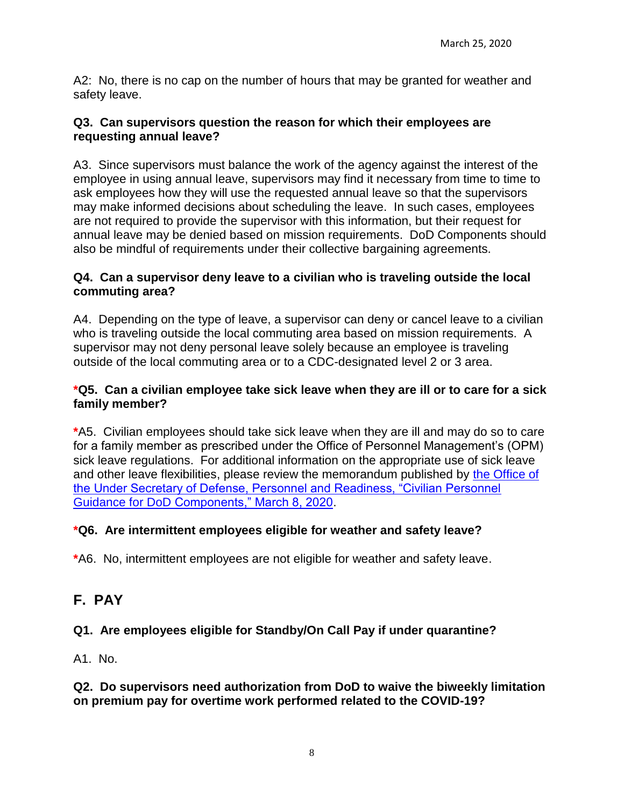A2: No, there is no cap on the number of hours that may be granted for weather and safety leave.

### **Q3. Can supervisors question the reason for which their employees are requesting annual leave?**

A3. Since supervisors must balance the work of the agency against the interest of the employee in using annual leave, supervisors may find it necessary from time to time to ask employees how they will use the requested annual leave so that the supervisors may make informed decisions about scheduling the leave. In such cases, employees are not required to provide the supervisor with this information, but their request for annual leave may be denied based on mission requirements. DoD Components should also be mindful of requirements under their collective bargaining agreements.

### **Q4. Can a supervisor deny leave to a civilian who is traveling outside the local commuting area?**

A4. Depending on the type of leave, a supervisor can deny or cancel leave to a civilian who is traveling outside the local commuting area based on mission requirements. A supervisor may not deny personal leave solely because an employee is traveling outside of the local commuting area or to a CDC-designated level 2 or 3 area.

#### **\*Q5. Can a civilian employee take sick leave when they are ill or to care for a sick family member?**

**\***A5. Civilian employees should take sick leave when they are ill and may do so to care for a family member as prescribed under the Office of Personnel Management's (OPM) sick leave regulations. For additional information on the appropriate use of sick leave and other leave flexibilities, please review the memorandum published by [the Office of](https://www.dcpas.osd.mil/OD/EmergencyPreparedness)  [the Under Secretary of Defense, Personnel and Readiness, "Civilian Personnel](https://www.dcpas.osd.mil/OD/EmergencyPreparedness)  [Guidance for DoD Components," March 8, 2020.](https://www.dcpas.osd.mil/OD/EmergencyPreparedness)

### **\*Q6. Are intermittent employees eligible for weather and safety leave?**

**\***A6. No, intermittent employees are not eligible for weather and safety leave.

# <span id="page-7-0"></span>**F. PAY**

# **Q1. Are employees eligible for Standby/On Call Pay if under quarantine?**

A1. No.

### **Q2. Do supervisors need authorization from DoD to waive the biweekly limitation on premium pay for overtime work performed related to the COVID-19?**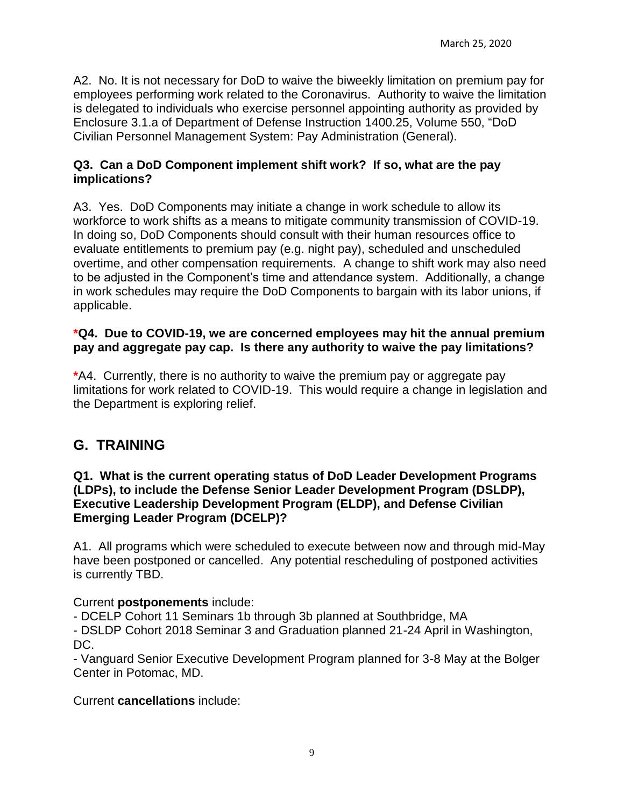A2. No. It is not necessary for DoD to waive the biweekly limitation on premium pay for employees performing work related to the Coronavirus. Authority to waive the limitation is delegated to individuals who exercise personnel appointing authority as provided by Enclosure 3.1.a of Department of Defense Instruction 1400.25, Volume 550, "DoD Civilian Personnel Management System: Pay Administration (General).

#### **Q3. Can a DoD Component implement shift work? If so, what are the pay implications?**

A3. Yes. DoD Components may initiate a change in work schedule to allow its workforce to work shifts as a means to mitigate community transmission of COVID-19. In doing so, DoD Components should consult with their human resources office to evaluate entitlements to premium pay (e.g. night pay), scheduled and unscheduled overtime, and other compensation requirements. A change to shift work may also need to be adjusted in the Component's time and attendance system. Additionally, a change in work schedules may require the DoD Components to bargain with its labor unions, if applicable.

#### **\*Q4. Due to COVID-19, we are concerned employees may hit the annual premium pay and aggregate pay cap. Is there any authority to waive the pay limitations?**

**\***A4. Currently, there is no authority to waive the premium pay or aggregate pay limitations for work related to COVID-19. This would require a change in legislation and the Department is exploring relief.

# <span id="page-8-0"></span>**G. TRAINING**

#### **Q1. What is the current operating status of DoD Leader Development Programs (LDPs), to include the Defense Senior Leader Development Program (DSLDP), Executive Leadership Development Program (ELDP), and Defense Civilian Emerging Leader Program (DCELP)?**

A1. All programs which were scheduled to execute between now and through mid-May have been postponed or cancelled. Any potential rescheduling of postponed activities is currently TBD.

### Current **postponements** include:

- DCELP Cohort 11 Seminars 1b through 3b planned at Southbridge, MA

- DSLDP Cohort 2018 Seminar 3 and Graduation planned 21-24 April in Washington, DC.

- Vanguard Senior Executive Development Program planned for 3-8 May at the Bolger Center in Potomac, MD.

Current **cancellations** include: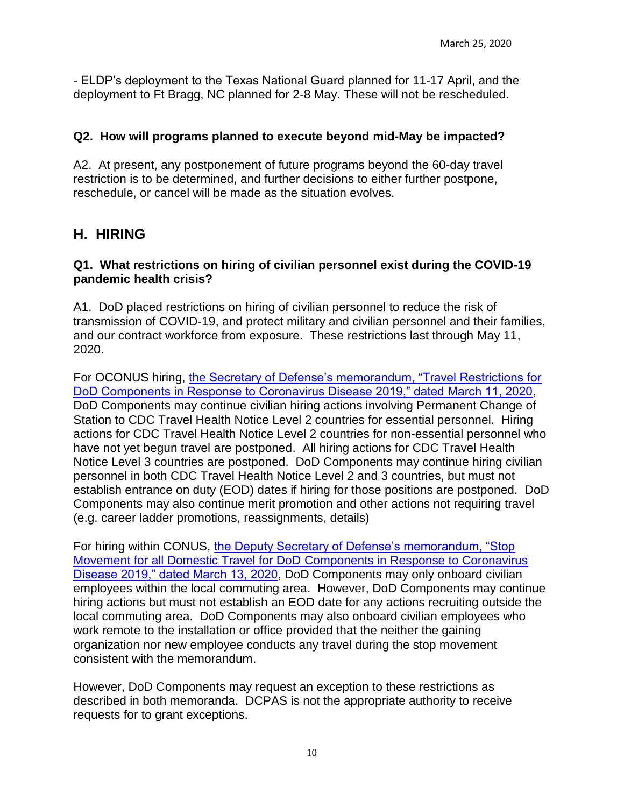- ELDP's deployment to the Texas National Guard planned for 11-17 April, and the deployment to Ft Bragg, NC planned for 2-8 May. These will not be rescheduled.

## **Q2. How will programs planned to execute beyond mid-May be impacted?**

A2. At present, any postponement of future programs beyond the 60-day travel restriction is to be determined, and further decisions to either further postpone, reschedule, or cancel will be made as the situation evolves.

# <span id="page-9-0"></span>**H. HIRING**

### **Q1. What restrictions on hiring of civilian personnel exist during the COVID-19 pandemic health crisis?**

A1. DoD placed restrictions on hiring of civilian personnel to reduce the risk of transmission of COVID-19, and protect military and civilian personnel and their families, and our contract workforce from exposure. These restrictions last through May 11, 2020.

For OCONUS hiring, [the Secretary of Defense's memorandum, "Travel Restrictions for](https://media.defense.gov/2020/Mar/11/2002263242/-1/-1/1/TRAVEL-RESTRICTIONS-FOR-DOD-COMPONENTS-IN-RESPONSE-TO-CORONAVIRUS-DISEASE-2019.PDF)  [DoD Components in Response to Coronavirus Disease 2019," dated March 11, 2020,](https://media.defense.gov/2020/Mar/11/2002263242/-1/-1/1/TRAVEL-RESTRICTIONS-FOR-DOD-COMPONENTS-IN-RESPONSE-TO-CORONAVIRUS-DISEASE-2019.PDF) DoD Components may continue civilian hiring actions involving Permanent Change of Station to CDC Travel Health Notice Level 2 countries for essential personnel. Hiring actions for CDC Travel Health Notice Level 2 countries for non-essential personnel who have not yet begun travel are postponed. All hiring actions for CDC Travel Health Notice Level 3 countries are postponed. DoD Components may continue hiring civilian personnel in both CDC Travel Health Notice Level 2 and 3 countries, but must not establish entrance on duty (EOD) dates if hiring for those positions are postponed. DoD Components may also continue merit promotion and other actions not requiring travel (e.g. career ladder promotions, reassignments, details)

For hiring within CONUS, [the Deputy Secretary of Defense's memorandum, "Stop](https://media.defense.gov/2020/Mar/13/2002264686/-1/-1/1/STOP-MOVEMENT-FOR-ALL-DOMESTIC-TRAVEL-FOR-DOD-COMPONENTS-IN-RESPONSE-TO-CORONAVIRUS-2019.PDF)  [Movement for all Domestic Travel for DoD](https://media.defense.gov/2020/Mar/13/2002264686/-1/-1/1/STOP-MOVEMENT-FOR-ALL-DOMESTIC-TRAVEL-FOR-DOD-COMPONENTS-IN-RESPONSE-TO-CORONAVIRUS-2019.PDF) Components in Response to Coronavirus [Disease 2019," dated March 13, 2020,](https://media.defense.gov/2020/Mar/13/2002264686/-1/-1/1/STOP-MOVEMENT-FOR-ALL-DOMESTIC-TRAVEL-FOR-DOD-COMPONENTS-IN-RESPONSE-TO-CORONAVIRUS-2019.PDF) DoD Components may only onboard civilian employees within the local commuting area. However, DoD Components may continue hiring actions but must not establish an EOD date for any actions recruiting outside the local commuting area. DoD Components may also onboard civilian employees who work remote to the installation or office provided that the neither the gaining organization nor new employee conducts any travel during the stop movement consistent with the memorandum.

However, DoD Components may request an exception to these restrictions as described in both memoranda. DCPAS is not the appropriate authority to receive requests for to grant exceptions.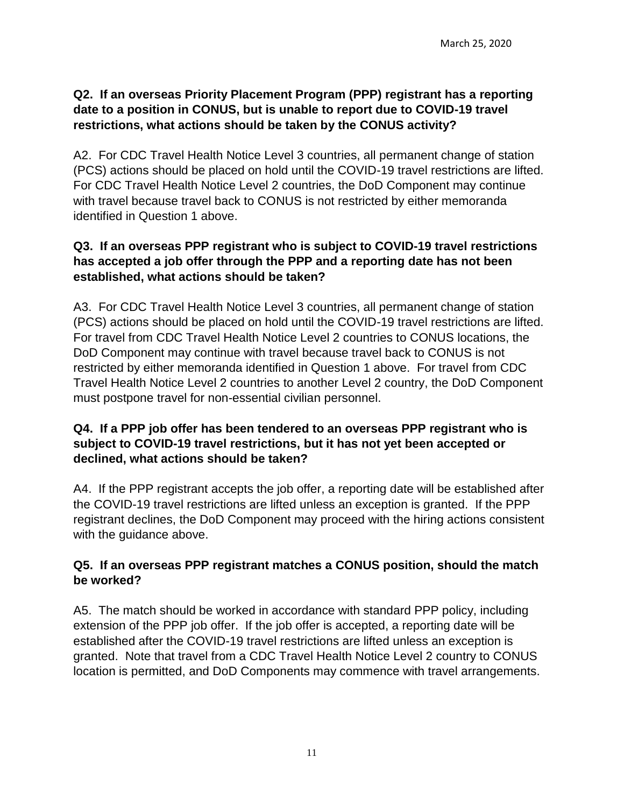# **Q2. If an overseas Priority Placement Program (PPP) registrant has a reporting date to a position in CONUS, but is unable to report due to COVID-19 travel restrictions, what actions should be taken by the CONUS activity?**

A2. For CDC Travel Health Notice Level 3 countries, all permanent change of station (PCS) actions should be placed on hold until the COVID-19 travel restrictions are lifted. For CDC Travel Health Notice Level 2 countries, the DoD Component may continue with travel because travel back to CONUS is not restricted by either memoranda identified in Question 1 above.

# **Q3. If an overseas PPP registrant who is subject to COVID-19 travel restrictions has accepted a job offer through the PPP and a reporting date has not been established, what actions should be taken?**

A3. For CDC Travel Health Notice Level 3 countries, all permanent change of station (PCS) actions should be placed on hold until the COVID-19 travel restrictions are lifted. For travel from CDC Travel Health Notice Level 2 countries to CONUS locations, the DoD Component may continue with travel because travel back to CONUS is not restricted by either memoranda identified in Question 1 above. For travel from CDC Travel Health Notice Level 2 countries to another Level 2 country, the DoD Component must postpone travel for non-essential civilian personnel.

# **Q4. If a PPP job offer has been tendered to an overseas PPP registrant who is subject to COVID-19 travel restrictions, but it has not yet been accepted or declined, what actions should be taken?**

A4. If the PPP registrant accepts the job offer, a reporting date will be established after the COVID-19 travel restrictions are lifted unless an exception is granted. If the PPP registrant declines, the DoD Component may proceed with the hiring actions consistent with the guidance above.

# **Q5. If an overseas PPP registrant matches a CONUS position, should the match be worked?**

A5. The match should be worked in accordance with standard PPP policy, including extension of the PPP job offer. If the job offer is accepted, a reporting date will be established after the COVID-19 travel restrictions are lifted unless an exception is granted. Note that travel from a CDC Travel Health Notice Level 2 country to CONUS location is permitted, and DoD Components may commence with travel arrangements.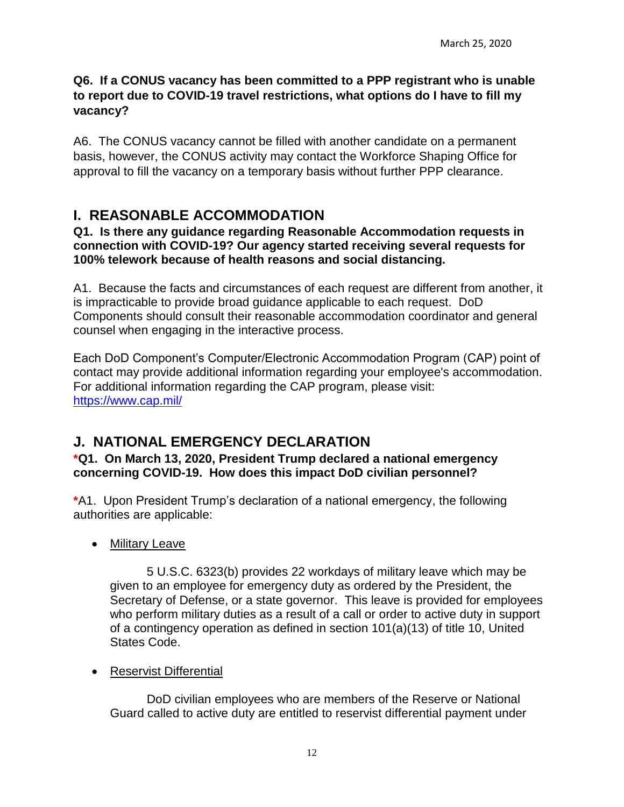## **Q6. If a CONUS vacancy has been committed to a PPP registrant who is unable to report due to COVID-19 travel restrictions, what options do I have to fill my vacancy?**

A6. The CONUS vacancy cannot be filled with another candidate on a permanent basis, however, the CONUS activity may contact the Workforce Shaping Office for approval to fill the vacancy on a temporary basis without further PPP clearance.

# <span id="page-11-0"></span>**I. REASONABLE ACCOMMODATION**

**Q1. Is there any guidance regarding Reasonable Accommodation requests in connection with COVID-19? Our agency started receiving several requests for 100% telework because of health reasons and social distancing.**

A1. Because the facts and circumstances of each request are different from another, it is impracticable to provide broad guidance applicable to each request. DoD Components should consult their reasonable accommodation coordinator and general counsel when engaging in the interactive process.

Each DoD Component's Computer/Electronic Accommodation Program (CAP) point of contact may provide additional information regarding your employee's accommodation. For additional information regarding the CAP program, please visit: <https://www.cap.mil/>

# <span id="page-11-1"></span>**J. NATIONAL EMERGENCY DECLARATION**

**\*Q1. On March 13, 2020, President Trump declared a national emergency concerning COVID-19. How does this impact DoD civilian personnel?**

**\***A1. Upon President Trump's declaration of a national emergency, the following authorities are applicable:

• Military Leave

5 U.S.C. 6323(b) provides 22 workdays of military leave which may be given to an employee for emergency duty as ordered by the President, the Secretary of Defense, or a state governor. This leave is provided for employees who perform military duties as a result of a call or order to active duty in support of a contingency operation as defined in section 101(a)(13) of title 10, United States Code.

### • Reservist Differential

DoD civilian employees who are members of the Reserve or National Guard called to active duty are entitled to reservist differential payment under